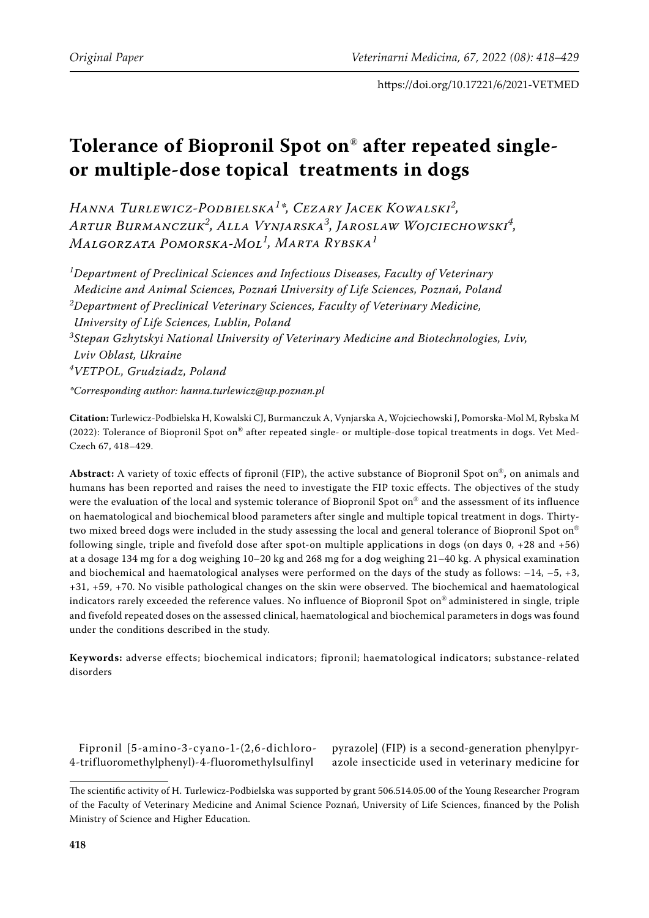# **Tolerance of Biopronil Spot on**® **after repeated singleor multiple-dose topical treatments in dogs**

*Hanna Turlewicz-Podbielska<sup>1</sup> \*, Cezary Jacek Kowalski<sup>2</sup> , Artur Burmanczuk<sup>2</sup> , Alla Vynjarska<sup>3</sup> , Jaroslaw Wojciechowski<sup>4</sup> , Malgorzata Pomorska-Mol<sup>1</sup> , Marta Rybska<sup>1</sup>*

*1 Department of Preclinical Sciences and Infectious Diseases, Faculty of Veterinary Medicine and Animal Sciences, Poznań University of Life Sciences, Poznań, Poland 2 Department of Preclinical Veterinary Sciences, Faculty of Veterinary Medicine, University of Life Sciences, Lublin, Poland 3 Stepan Gzhytskyi National University of Veterinary Medicine and Biotechnologies, Lviv, Lviv Oblast, Ukraine 4 VETPOL, Grudziadz, Poland*

*\*Corresponding author: hanna.turlewicz@up.poznan.pl*

**Citation:** Turlewicz-Podbielska H, Kowalski CJ, Burmanczuk A, Vynjarska A, Wojciechowski J, Pomorska-Mol M, Rybska M (2022): Tolerance of Biopronil Spot on® after repeated single- or multiple-dose topical treatments in dogs. Vet Med-Czech 67, 418–429.

**Abstract:** A variety of toxic effects of fipronil (FIP), the active substance of Biopronil Spot on®**,** on animals and humans has been reported and raises the need to investigate the FIP toxic effects. The objectives of the study were the evaluation of the local and systemic tolerance of Biopronil Spot on® and the assessment of its influence on haematological and biochemical blood parameters after single and multiple topical treatment in dogs. Thirtytwo mixed breed dogs were included in the study assessing the local and general tolerance of Biopronil Spot on® following single, triple and fivefold dose after spot-on multiple applications in dogs (on days 0, +28 and +56) at a dosage 134 mg for a dog weighing 10–20 kg and 268 mg for a dog weighing 21–40 kg. A physical examination and biochemical and haematological analyses were performed on the days of the study as follows:  $-14$ ,  $-5$ ,  $+3$ , +31, +59, +70. No visible pathological changes on the skin were observed. The biochemical and haematological indicators rarely exceeded the reference values. No influence of Biopronil Spot on® administered in single, triple and fivefold repeated doses on the assessed clinical, haematological and biochemical parameters in dogs was found under the conditions described in the study.

**Keywords:** adverse effects; biochemical indicators; fipronil; haematological indicators; substance-related disorders

Fipronil [5-amino-3-cyano-1-(2,6-dichloro-4-trifluoromethylphenyl)-4-fluoromethylsulfinyl

pyrazole] (FIP) is a second-generation phenylpyrazole insecticide used in veterinary medicine for

The scientific activity of H. Turlewicz-Podbielska was supported by grant 506.514.05.00 of the Young Researcher Program of the Faculty of Veterinary Medicine and Animal Science Poznań, University of Life Sciences, financed by the Polish Ministry of Science and Higher Education.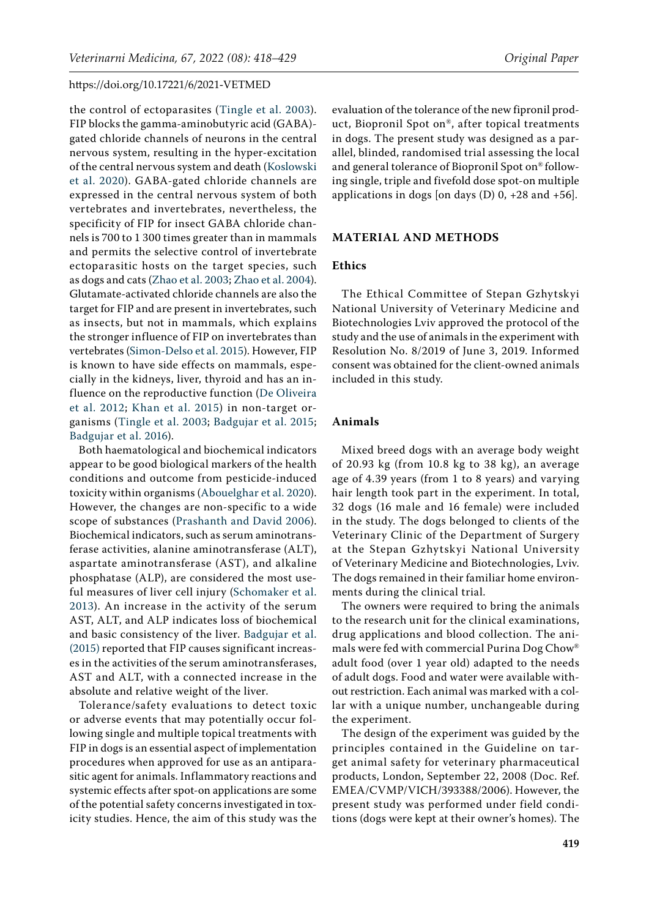the control of ectoparasites ([Tingle et al. 2003\)](#page-11-0). FIP blocks the gamma-aminobutyric acid (GABA) gated chloride channels of neurons in the central nervous system, resulting in the hyper-excitation of the central nervous system and death [\(Koslowski](#page-10-0)  [et al. 2020](#page-10-0)). GABA-gated chloride channels are expressed in the central nervous system of both vertebrates and invertebrates, nevertheless, the specificity of FIP for insect GABA chloride channels is 700 to 1 300 times greater than in mammals and permits the selective control of invertebrate ectoparasitic hosts on the target species, such as dogs and cats [\(Zhao et al. 2003;](#page-11-1) [Zhao et al. 2004\)](#page-11-2). Glutamate-activated chloride channels are also the target for FIP and are present in invertebrates, such as insects, but not in mammals, which explains the stronger influence of FIP on invertebrates than vertebrates [\(Simon-Delso et al. 2015](#page-11-3)). However, FIP is known to have side effects on mammals, especially in the kidneys, liver, thyroid and has an influence on the reproductive function ([De Oliveira](#page-10-1)  [et al. 2012;](#page-10-1) [Khan et al. 2015](#page-10-2)) in non-target organisms [\(Tingle et al. 2003](#page-11-0); [Badgujar et al. 2015](#page-10-3); [Badgujar et al. 2016\)](#page-10-4).

Both haematological and biochemical indicators appear to be good biological markers of the health conditions and outcome from pesticide-induced toxicity within organisms [\(Abouelghar et al. 2020\)](#page-10-5). However, the changes are non-specific to a wide scope of substances [\(Prashanth and David 2006\)](#page-10-6). Biochemical indicators, such as serum aminotransferase activities, alanine aminotransferase (ALT), aspartate aminotransferase (AST), and alkaline phosphatase (ALP), are considered the most useful measures of liver cell injury [\(Schomaker et al.](#page-10-7)  [2013\)](#page-10-7). An increase in the activity of the serum AST, ALT, and ALP indicates loss of biochemical and basic consistency of the liver. [Badgujar et al.](#page-10-3)  [\(2015\)](#page-10-3) reported that FIP causes significant increases in the activities of the serum aminotransferases, AST and ALT, with a connected increase in the absolute and relative weight of the liver.

Tolerance/safety evaluations to detect toxic or adverse events that may potentially occur following single and multiple topical treatments with FIP in dogs is an essential aspect of implementation procedures when approved for use as an antiparasitic agent for animals. Inflammatory reactions and systemic effects after spot-on applications are some of the potential safety concerns investigated in toxicity studies. Hence, the aim of this study was the

evaluation of the tolerance of the new fipronil product, Biopronil Spot on®, after topical treatments in dogs. The present study was designed as a parallel, blinded, randomised trial assessing the local and general tolerance of Biopronil Spot on® following single, triple and fivefold dose spot-on multiple applications in dogs [on days  $(D)$  0, +28 and +56].

## **MATERIAL AND METHODS**

#### **Ethics**

The Ethical Committee of Stepan Gzhytskyi National University of Veterinary Medicine and Biotechnologies Lviv approved the protocol of the study and the use of animals in the experiment with Resolution No. 8/2019 of June 3, 2019. Informed consent was obtained for the client-owned animals included in this study.

#### **Animals**

Mixed breed dogs with an average body weight of 20.93 kg (from 10.8 kg to 38 kg), an average age of 4.39 years (from 1 to 8 years) and varying hair length took part in the experiment. In total, 32 dogs (16 male and 16 female) were included in the study. The dogs belonged to clients of the Veterinary Clinic of the Department of Surgery at the Stepan Gzhytskyi National University of Veterinary Medicine and Biotechnologies, Lviv. The dogs remained in their familiar home environments during the clinical trial.

The owners were required to bring the animals to the research unit for the clinical examinations, drug applications and blood collection. The animals were fed with commercial Purina Dog Chow® adult food (over 1 year old) adapted to the needs of adult dogs. Food and water were available without restriction. Each animal was marked with a collar with a unique number, unchangeable during the experiment.

The design of the experiment was guided by the principles contained in the Guideline on target animal safety for veterinary pharmaceutical products, London, September 22, 2008 (Doc. Ref. EMEA/CVMP/VICH/393388/2006). However, the present study was performed under field conditions (dogs were kept at their owner's homes). The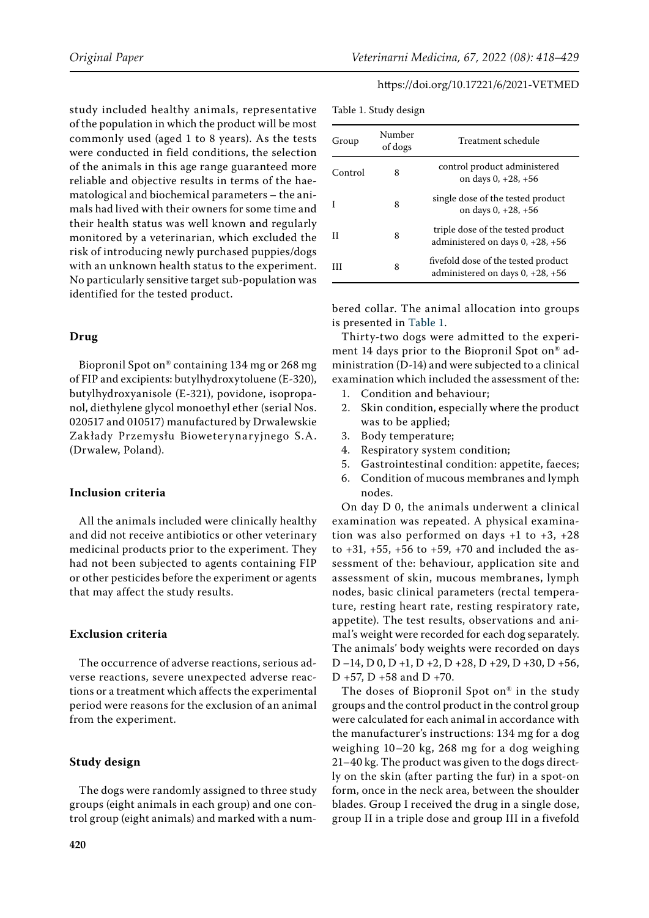study included healthy animals, representative of the population in which the product will be most commonly used (aged 1 to 8 years). As the tests were conducted in field conditions, the selection of the animals in this age range guaranteed more reliable and objective results in terms of the haematological and biochemical parameters – the animals had lived with their owners for some time and their health status was well known and regularly monitored by a veterinarian, which excluded the risk of introducing newly purchased puppies/dogs with an unknown health status to the experiment. No particularly sensitive target sub-population was identified for the tested product.

#### **Drug**

Biopronil Spot on® containing 134 mg or 268 mg of FIP and excipients: butylhydroxytoluene (E-320), butylhydroxyanisole (E-321), povidone, isopropanol, diethylene glycol monoethyl ether (serial Nos. 020517 and 010517) manufactured by Drwalewskie Zakłady Przemysłu Bioweterynaryjnego S.A. (Drwalew, Poland).

#### **Inclusion criteria**

All the animals included were clinically healthy and did not receive antibiotics or other veterinary medicinal products prior to the experiment. They had not been subjected to agents containing FIP or other pesticides before the experiment or agents that may affect the study results.

#### **Exclusion criteria**

The occurrence of adverse reactions, serious adverse reactions, severe unexpected adverse reactions or a treatment which affects the experimental period were reasons for the exclusion of an animal from the experiment.

## **Study design**

The dogs were randomly assigned to three study groups (eight animals in each group) and one control group (eight animals) and marked with a num-

<span id="page-2-0"></span>

| Group   | Number<br>of dogs | Treatment schedule                                                        |
|---------|-------------------|---------------------------------------------------------------------------|
| Control | 8                 | control product administered<br>on days $0, +28, +56$                     |
|         | 8                 | single dose of the tested product<br>on days $0, +28, +56$                |
| Н       | 8                 | triple dose of the tested product<br>administered on days $0, +28, +56$   |
|         | 8                 | fivefold dose of the tested product<br>administered on days $0, +28, +56$ |

bered collar. The animal allocation into groups is presented in [Table 1.](#page-2-0)

Thirty-two dogs were admitted to the experiment 14 days prior to the Biopronil Spot on® administration (D-14) and were subjected to a clinical examination which included the assessment of the:

- 1. Condition and behaviour;
- 2. Skin condition, especially where the product was to be applied;
- 3. Body temperature;
- 4. Respiratory system condition;
- 5. Gastrointestinal condition: appetite, faeces;
- 6. Condition of mucous membranes and lymph nodes.

On day D 0, the animals underwent a clinical examination was repeated. A physical examination was also performed on days  $+1$  to  $+3$ ,  $+28$ to  $+31, +55, +56$  to  $+59, +70$  and included the assessment of the: behaviour, application site and assessment of skin, mucous membranes, lymph nodes, basic clinical parameters (rectal temperature, resting heart rate, resting respiratory rate, appetite). The test results, observations and animal's weight were recorded for each dog separately. The animals' body weights were recorded on days D –14, D 0, D +1, D +2, D +28, D +29, D +30, D +56, D +57, D +58 and D +70.

The doses of Biopronil Spot on® in the study groups and the control product in the control group were calculated for each animal in accordance with the manufacturer's instructions: 134 mg for a dog weighing 10–20 kg, 268 mg for a dog weighing 21–40 kg. The product was given to the dogs directly on the skin (after parting the fur) in a spot-on form, once in the neck area, between the shoulder blades. Group I received the drug in a single dose, group II in a triple dose and group III in a fivefold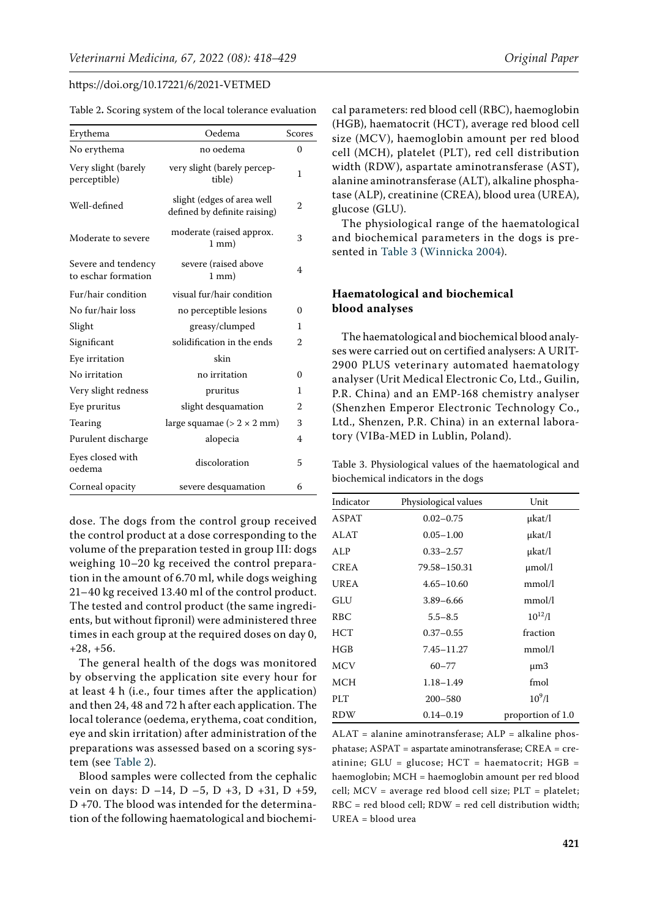| Erythema                                   | Oedema                                                     | Scores         |
|--------------------------------------------|------------------------------------------------------------|----------------|
| No erythema                                | no oedema                                                  | 0              |
| Very slight (barely<br>perceptible)        | very slight (barely percep-<br>tible)                      | 1              |
| Well-defined                               | slight (edges of area well<br>defined by definite raising) | $\overline{2}$ |
| Moderate to severe                         | moderate (raised approx.<br>$1$ mm $)$                     | 3              |
| Severe and tendency<br>to eschar formation | severe (raised above<br>$1 \text{ mm}$                     | 4              |
| Fur/hair condition                         | visual fur/hair condition                                  |                |
| No fur/hair loss                           | no perceptible lesions                                     | 0              |
| Slight                                     | greasy/clumped                                             | 1              |
| Significant                                | solidification in the ends                                 | 2              |
| Eye irritation                             | skin                                                       |                |
| No irritation                              | no irritation                                              | 0              |
| Very slight redness                        | pruritus                                                   | 1              |
| Eye pruritus                               | slight desquamation                                        | 2              |
| Tearing                                    | large squamae ( $> 2 \times 2$ mm)                         | 3              |
| Purulent discharge                         | alopecia                                                   | 4              |
| Eyes closed with<br>oedema                 | discoloration                                              | 5              |
| Corneal opacity                            | severe desquamation                                        | 6              |

<span id="page-3-0"></span>Table 2**.** Scoring system of the local tolerance evaluation

dose. The dogs from the control group received the control product at a dose corresponding to the volume of the preparation tested in group III: dogs weighing 10–20 kg received the control preparation in the amount of 6.70 ml, while dogs weighing 21–40 kg received 13.40 ml of the control product. The tested and control product (the same ingredients, but without fipronil) were administered three times in each group at the required doses on day 0, +28, +56.

The general health of the dogs was monitored by observing the application site every hour for at least 4 h (i.e., four times after the application) and then 24, 48 and 72 h after each application. The local tolerance (oedema, erythema, coat condition, eye and skin irritation) after administration of the preparations was assessed based on a scoring system (see [Table 2\)](#page-3-0).

Blood samples were collected from the cephalic vein on days: D –14, D –5, D +3, D +31, D +59, D +70. The blood was intended for the determination of the following haematological and biochemi-

cal parameters: red blood cell (RBC), haemoglobin (HGB), haematocrit (HCT), average red blood cell size (MCV), haemoglobin amount per red blood cell (MCH), platelet (PLT), red cell distribution width (RDW), aspartate aminotransferase (AST), alanine aminotransferase (ALT), alkaline phosphatase (ALP), creatinine (CREA), blood urea (UREA), glucose (GLU).

The physiological range of the haematological and biochemical parameters in the dogs is presented in [Table 3](#page-3-1) ([Winnicka 2004](#page-11-4)).

## **Haematological and biochemical blood analyses**

The haematological and biochemical blood analyses were carried out on certified analysers: A URIT-2900 PLUS veterinary automated haematology analyser (Urit Medical Electronic Co, Ltd., Guilin, P.R. China) and an EMP-168 chemistry analyser (Shenzhen Emperor Electronic Technology Co., Ltd., Shenzen, P.R. China) in an external laboratory (VIBa-MED in Lublin, Poland).

<span id="page-3-1"></span>Table 3. Physiological values of the haematological and biochemical indicators in the dogs

| Indicator    | Physiological values | Unit              |
|--------------|----------------------|-------------------|
| <b>ASPAT</b> | $0.02 - 0.75$        | $\mu$ kat/l       |
| ALAT         | $0.05 - 1.00$        | µkat/l            |
| ALP          | $0.33 - 2.57$        | µkat/l            |
| <b>CREA</b>  | 79.58-150.31         | $\mu$ mol/l       |
| UREA         | $4.65 - 10.60$       | mmol/l            |
| GLU          | $3.89 - 6.66$        | mmol/l            |
| RBC.         | $5.5 - 8.5$          | $10^{12}/l$       |
| HCT          | $0.37 - 0.55$        | fraction          |
| HGB          | 7.45-11.27           | mmol/l            |
| <b>MCV</b>   | $60 - 77$            | $\mu$ m3          |
| MCH          | $1.18 - 1.49$        | fmol              |
| PLT          | $200 - 580$          | $10^{9}/l$        |
| RDW          | $0.14 - 0.19$        | proportion of 1.0 |

ALAT = alanine aminotransferase; ALP = alkaline phosphatase; ASPAT = aspartate aminotransferase; CREA = creatinine;  $GLU =$  glucose;  $HCT =$  haematocrit;  $HGB =$ haemoglobin; MCH = haemoglobin amount per red blood cell; MCV = average red blood cell size; PLT = platelet; RBC = red blood cell; RDW = red cell distribution width; UREA = blood urea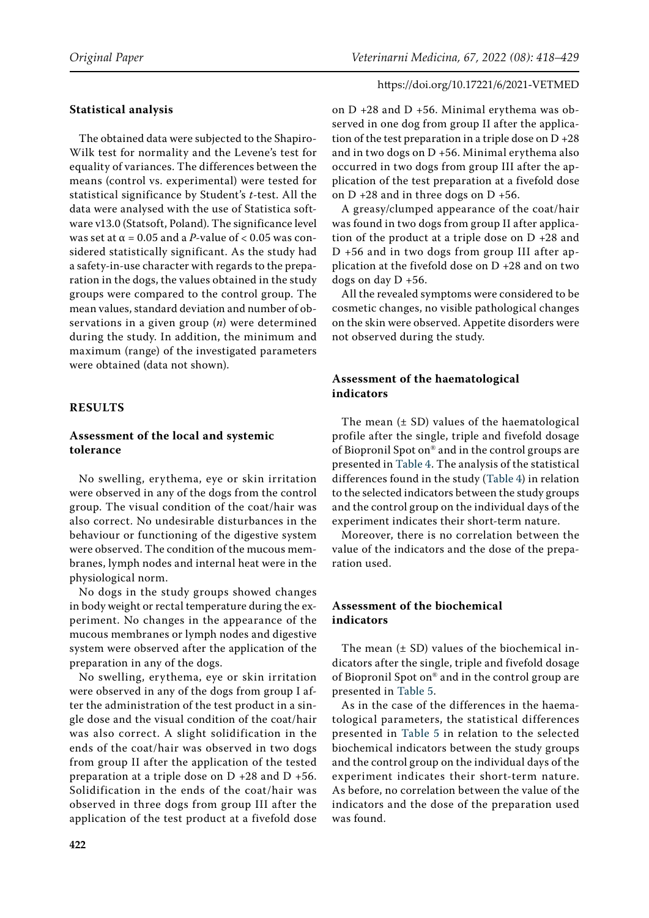#### **Statistical analysis**

The obtained data were subjected to the Shapiro-Wilk test for normality and the Levene's test for equality of variances. The differences between the means (control vs. experimental) were tested for statistical significance by Student's *t*-test. All the data were analysed with the use of Statistica software v13.0 (Statsoft, Poland). The significance level was set at  $\alpha$  = 0.05 and a *P*-value of < 0.05 was considered statistically significant. As the study had a safety-in-use character with regards to the preparation in the dogs, the values obtained in the study groups were compared to the control group. The mean values, standard deviation and number of observations in a given group (*n*) were determined during the study. In addition, the minimum and maximum (range) of the investigated parameters were obtained (data not shown).

#### **RESULTS**

## **Assessment of the local and systemic tolerance**

No swelling, erythema, eye or skin irritation were observed in any of the dogs from the control group. The visual condition of the coat/hair was also correct. No undesirable disturbances in the behaviour or functioning of the digestive system were observed. The condition of the mucous membranes, lymph nodes and internal heat were in the physiological norm.

No dogs in the study groups showed changes in body weight or rectal temperature during the experiment. No changes in the appearance of the mucous membranes or lymph nodes and digestive system were observed after the application of the preparation in any of the dogs.

No swelling, erythema, eye or skin irritation were observed in any of the dogs from group I after the administration of the test product in a single dose and the visual condition of the coat/hair was also correct. A slight solidification in the ends of the coat/hair was observed in two dogs from group II after the application of the tested preparation at a triple dose on D +28 and D +56. Solidification in the ends of the coat/hair was observed in three dogs from group III after the application of the test product at a fivefold dose on D +28 and D +56. Minimal erythema was observed in one dog from group II after the application of the test preparation in a triple dose on  $D + 28$ and in two dogs on D +56. Minimal erythema also occurred in two dogs from group III after the application of the test preparation at a fivefold dose on  $D + 28$  and in three dogs on  $D + 56$ .

A greasy/clumped appearance of the coat/hair was found in two dogs from group II after application of the product at a triple dose on D +28 and D +56 and in two dogs from group III after application at the fivefold dose on D +28 and on two dogs on day D +56.

All the revealed symptoms were considered to be cosmetic changes, no visible pathological changes on the skin were observed. Appetite disorders were not observed during the study.

## **Assessment of the haematological indicators**

The mean  $(± SD)$  values of the haematological profile after the single, triple and fivefold dosage of Biopronil Spot on® and in the control groups are presented in [Table 4.](#page-5-0) The analysis of the statistical differences found in the study [\(Table 4\)](#page-5-0) in relation to the selected indicators between the study groups and the control group on the individual days of the experiment indicates their short-term nature.

Moreover, there is no correlation between the value of the indicators and the dose of the preparation used.

## **Assessment of the biochemical indicators**

The mean  $(\pm SD)$  values of the biochemical indicators after the single, triple and fivefold dosage of Biopronil Spot on® and in the control group are presented in [Table 5.](#page-7-0)

As in the case of the differences in the haematological parameters, the statistical differences presented in [Table 5](#page-7-0) in relation to the selected biochemical indicators between the study groups and the control group on the individual days of the experiment indicates their short-term nature. As before, no correlation between the value of the indicators and the dose of the preparation used was found.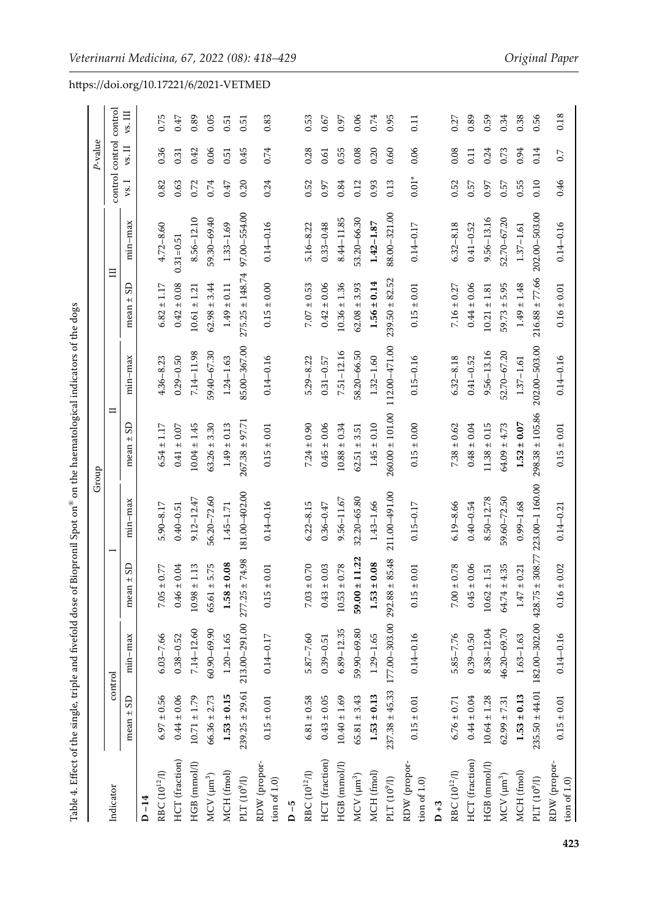<span id="page-5-0"></span>

|                                               |                    |                                           |                        |                          | Group               |                |                     |                |         | P-value         |                             |
|-----------------------------------------------|--------------------|-------------------------------------------|------------------------|--------------------------|---------------------|----------------|---------------------|----------------|---------|-----------------|-----------------------------|
| Indicator                                     |                    | control                                   |                        | $\overline{\phantom{0}}$ | ᄇ                   |                |                     | 目              |         | control control | control                     |
|                                               | $mean \pm SD$      | $min-max$                                 | S<br>$+1$<br>mean      | $min-max$                | S<br>mean $\pm$     | $min-max$      | S<br>$\pm$<br>mean  | $min-max$      | vs.     | vs. II          | $\mathbf{v}\mathbf{s}.$ III |
| $D-14$                                        |                    |                                           |                        |                          |                     |                |                     |                |         |                 |                             |
| $\operatorname{RBC}$ (10^12/I)                | $6.97 \pm 0.56$    | $6.03 - 7.66$                             | 0.77<br>$7.05 \pm$     | $5.90 - 8.17$            | $6.54 \pm 1.17$     | $4.36 - 8.23$  | $6.82 \pm 1.17$     | $4.72 - 8.60$  | 0.82    | 0.36            | 0.75                        |
| HCT (fraction)                                | $0.44 \pm 0.06$    | $0.38 - 0.52$                             | 0.04<br>$0.46 \pm$     | $0.40 - 0.51$            | $0.41 \pm 0.07$     | $0.29 - 0.50$  | $0.42 \pm 0.08$     | $0.31 = 0.51$  | 0.63    | 0.31            | 0.47                        |
| HGB (mmol/l)                                  | $10.71 \pm 1.79$   | 7.14-12.60                                | 1.13<br>$10.98\,\pm\,$ | $9.12 - 12.47$           | $10.04 \pm 1.45$    | 7.14-11.98     | $10.61 \pm 1.21$    | $8.56 - 12.10$ | 0.72    | 0.42            | 0.89                        |
| $MCV$ $(\mu m^3)$                             | $66.36 \pm 2.73$   | $60.90 - 69.90$                           | 5.75<br>$65.61 \pm$    | 56.20-72.60              | $63.26 \pm 3.30$    | 59.40-67.30    | $62.98 \pm 3.44$    | 59.30-69.40    | 0.74    | 0.06            | 0.05                        |
| MCH (fmol)                                    | $1.53 \pm 0.15$    | $1.20 - 1.65$                             | 0.08<br>$1.58 \pm$     | $1.45 - 1.71$            | $1.49 \pm 0.13$     | $1.24 - 1.63$  | $1.49 \pm 0.11$     | $1.33 - 1.69$  | 0.47    | 0.51            | 0.51                        |
| PLT (10 $^9$ /l)                              | $239.25 \pm 29.61$ | $213.00 - 291.00$ $277.25 \pm$            | 74.98                  | 181.00-402.00            | $267.38 \pm 97.71$  | 85.00-367.00   | $275.25 \pm 148.74$ | 97.00-554.00   | 0.20    | 0.45            | 0.51                        |
| RDW (propor-<br>tion of $1.0$                 | $0.15\pm0.01$      | $0.14 - 0.17$                             | 0.01<br>$0.15 \pm$     | $0.14 - 0.16$            | $0.15 \pm 0.01$     | $0.14 - 0.16$  | $0.15 \pm 0.00$     | $0.14 - 0.16$  | 0.24    | 0.74            | 0.83                        |
| $D - 5$                                       |                    |                                           |                        |                          |                     |                |                     |                |         |                 |                             |
| $\mathrm{RBC}\left(10^{12}/\mathrm{l}\right)$ | $6.81 \pm 0.58$    | $5.87 - 7.60$                             | 0.70<br>$7.03 \pm$     | $6.22 - 8.15$            | $7.24 \pm 0.90$     | $5.29 - 8.22$  | $7.07 \pm 0.53$     | $5.16 - 8.22$  | 0.52    | 0.28            | 0.53                        |
| HCT (fraction)                                | $0.43 \pm 0.05$    | $0.39 - 0.51$                             | 0.03<br>$0.43 \pm$     | $0.36 - 0.47$            | $0.45 \pm 0.06$     | $0.31 - 0.57$  | $0.42 \pm 0.06$     | $0.33 - 0.48$  | 0.97    | $\!0.61$        | 0.67                        |
| HGB (mmol/l)                                  | $10.40 \pm 1.69$   | $6.89 - 12.35$                            | 0.78<br>$10.53 \pm$    | $9.56 - 11.67$           | $10.88 \pm 0.34$    | 7.51-12.16     | $10.36 \pm 1.36$    | 8.44-11.85     | 0.84    | 0.55            | 0.97                        |
| $MCV$ $(\mu m^3)$                             | $65.81 \pm 3.43$   | 59.90-69.80                               | 11.22<br>$59.00 \pm$   | 32.20-65.80              | $62.51 \pm 3.51$    | 58.20-66.50    | $62.08 \pm 3.93$    | 53.20-66.30    | 0.12    | 0.08            | 0.06                        |
| MCH (fmol)                                    | $1.53 \pm 0.13$    | $1.29 - 1.65$                             | 0.08<br>$1.53 \pm$     | $1.43 - 1.66$            | $1.45 \pm 0.10$     | $1.32 - 1.60$  | $1.56 \pm 0.14$     | $1.42 - 1.87$  | 0.93    | 0.20            | 0.74                        |
| PLT $(10^9/l)$                                | $237.38 \pm 45.33$ | $177.00 - 303.00$ 292.88 ±                | 85.48                  | 211.00-491.00            | $260.00 \pm 101.00$ | 112.00-471.00  | $239.50 \pm 82.52$  | 88.00 - 321.00 | 0.13    | 0.60            | 0.95                        |
| RDW (propor-<br>tion of $1.0$                 | $0.15 \pm 0.01$    | $0.14 - 0.16$                             | 0.01<br>$0.15 \pm$     | $0.15 - 0.17$            | $0.15 \pm 0.00$     | $0.15 - 0.16$  | $0.15 \pm 0.01$     | $0.14 - 0.17$  | $0.01*$ | 0.06            | $\overline{0.11}$           |
| $D + 3$                                       |                    |                                           |                        |                          |                     |                |                     |                |         |                 |                             |
| $\operatorname{RBC}$ (10 <sup>12</sup> /l)    | $6.76 \pm 0.71$    | $5.85 - 7.76$                             | 0.78<br>$7.00 \pm$     | $6.19 - 8.66$            | $7.38 \pm 0.62$     | $6.32 - 8.18$  | $7.16 \pm 0.27$     | $6.32 - 8.18$  | 0.52    | 0.08            | 0.27                        |
| HCT (fraction)                                | $0.44 \pm 0.04$    | $0.39 - 0.50$                             | 0.06<br>$0.45 \pm$     | $0.40 - 0.54$            | $0.48 \pm 0.04$     | $0.41 - 0.52$  | $0.44 \pm 0.06$     | $0.41 - 0.52$  | 0.57    | 0.11            | 0.89                        |
| HGB (mmol/l)                                  | $10.64 \pm 1.28$   | 8.38-12.04                                | 1.51<br>$10.62 \pm$    | 8.50 - 12.78             | $11.38 \pm 0.15$    | $9.56 - 13.16$ | $10.21 \pm 1.81$    | $9.56 - 13.16$ | 0.97    | 0.24            | 0.59                        |
| $MCV$ $(\mu m^3)$                             | $62.99 \pm 7.31$   | 46.20-69.70                               | 4.35<br>$64.74 \pm$    | 59.60-72.50              | $64.09 \pm 4.73$    | 52.70-67.20    | $59.73 \pm 5.95$    | 52.70-67.20    | 0.57    | 0.73            | 0.34                        |
| MCH (fmol)                                    | $1.53 \pm 0.13$    | $1.63 - 1.63$                             | 0.21<br>$1.47 \pm$     | $0.99 - 1.68$            | $1.52 \pm 0.07$     | $1.37 - 1.61$  | $1.49 \pm 1.48$     | $1.37 - 1.61$  | 0.55    | 0.94            | 0.38                        |
| PLT $(10^9/l)$                                |                    | $235.50 \pm 44.01$ 182.00-302.00 428.75 ± |                        | 308.77 223.00-1 160.00   | $298.38 \pm 105.86$ | 202.00-503.00  | $216.88 \pm 77.66$  | 202.00-503.00  | 0.10    | 0.14            | 0.56                        |
| RDW (propor-<br>tion of $1.0$                 | $0.15 \pm 0.01$    | $0.14 - 0.16$                             | 0.02<br>$0.16 \pm$     | $0.14 - 0.21$            | $0.15 \pm 0.01$     | $0.14 - 0.16$  | $0.16 \pm 0.01$     | $0.14 - 0.16$  | 0.46    | 0.7             | 0.18                        |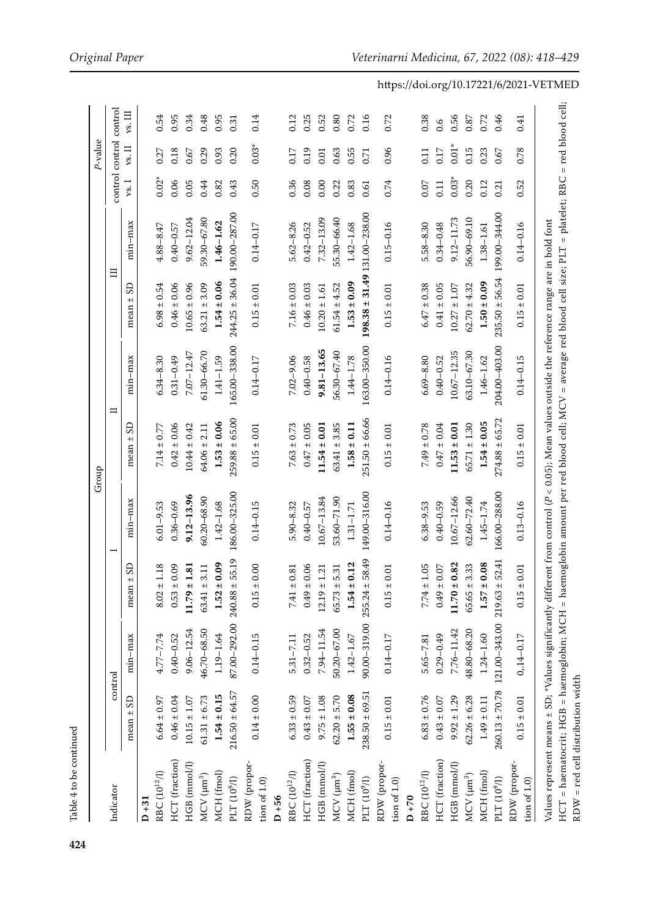|                                     |                    |                      |                       |                 | Group                                                                                                                                                                                                                                                                                                         |                 |                                  |                |         | P-value                 |         |
|-------------------------------------|--------------------|----------------------|-----------------------|-----------------|---------------------------------------------------------------------------------------------------------------------------------------------------------------------------------------------------------------------------------------------------------------------------------------------------------------|-----------------|----------------------------------|----------------|---------|-------------------------|---------|
| Indicator                           |                    | control              |                       |                 |                                                                                                                                                                                                                                                                                                               | $\blacksquare$  | 目                                |                |         | control control control |         |
|                                     | mean $\pm$ SD      | min-max              | mean $\pm$ SD         | $min-max$       | GS<br>$\pm$<br>mean                                                                                                                                                                                                                                                                                           | $min-max$       | GS<br>$+1$<br>mean               | $min-max$      | vs. I   | $\mathsf{vs.}\ \Pi$     | vs. III |
| $D+31$                              |                    |                      |                       |                 |                                                                                                                                                                                                                                                                                                               |                 |                                  |                |         |                         |         |
| RBC (10 <sup>12</sup> /l)           | $6.64 \pm 0.97$    | 4.77-7.74            | ±1.18<br>8.02         | $6.01 - 9.53$   | $7.14 \pm 0.77$                                                                                                                                                                                                                                                                                               | $6.34 - 8.30$   | $6.98 \pm 0.54$                  | 4.88-8.47      | $0.02*$ | 0.27                    | 0.54    |
| HCT (fraction)                      | $0.46 \pm 0.04$    | $0.40 - 0.52$        | $\pm$ 0.09<br>0.53    | $0.36 - 0.69$   | $0.42 \pm 0.06$                                                                                                                                                                                                                                                                                               | $0.31 - 0.49$   | $0.46 \pm 0.06$                  | $0.40 - 0.57$  | 0.06    | 0.18                    | 0.95    |
| HGB (mmol/l)                        | $10.15\pm1.07$     | $9.06 - 12.54$       | ±1.81<br>11.79        | $9.12 - 13.96$  | $10.44 \pm 0.42$                                                                                                                                                                                                                                                                                              | $7.07 - 12.47$  | $10.65 \pm 0.96$                 | $9.62 - 12.04$ | 0.05    | 0.67                    | 0.34    |
| $MCV$ $(\mu m^3)$                   | $61.31 \pm 6.73$   | 46.70-68.50          | $63.41 \pm 3.11$      | $60.20 - 68.90$ | $64.06 \pm 2.11$                                                                                                                                                                                                                                                                                              | $61.30 - 66.70$ | $63.21 \pm 3.09$                 | 59.30-67.80    | 0.44    | 0.29                    | 0.48    |
| MCH (fmol)                          | $1.54 \pm 0.15$    | $1.19 - 1.64$        | $\pm 0.09$<br>1.52    | $1.42 - 1.68$   | $1.53 \pm 0.06$                                                                                                                                                                                                                                                                                               | $1.41 - 1.59$   | $1.54 \pm 0.06$                  | $1.46 - 1.62$  | 0.82    | 0.93                    | 0.95    |
| PLT $(10^9/l)$                      | $216.50 \pm 64.57$ | 87.00-292.00 240.88  | ± 55.19               | 186.00-325.00   | $259.88 \pm 65.00$                                                                                                                                                                                                                                                                                            | 165.00-338.00   | $244.25 \pm 36.04$               | 190.00-287.00  | 0.43    | 0.20                    | 0.31    |
| RDW (propor-<br>tion of $1.0$       | $0.14 \pm 0.00$    | $0.14 - 0.15$        | $\pm$ 0.00<br>0.15    | $0.14 - 0.15$   | $0.15 \pm 0.01$                                                                                                                                                                                                                                                                                               | $0.14 - 0.17$   | $0.15 \pm 0.01$                  | $0.14 - 0.17$  | 0.50    | $0.03*$                 | 0.14    |
| $D + 56$                            |                    |                      |                       |                 |                                                                                                                                                                                                                                                                                                               |                 |                                  |                |         |                         |         |
| RBC (10 <sup>12</sup> /l)           | $6.33 \pm 0.59$    | $5.31 - 7.11$        | $\pm\,0.81$<br>7.41   | $5.90 - 8.32$   | $7.63 \pm 0.73$                                                                                                                                                                                                                                                                                               | $7.02 - 9.06$   | $7.16 \pm 0.03$                  | $5.62 - 8.26$  | 0.36    | 0.17                    | 0.12    |
| HCT (fraction)                      | $0.43\pm0.07$      | $0.32 - 0.52$        | $\pm 0.06$<br>0.49    | $0.40 - 0.57$   | $0.47 \pm 0.05$                                                                                                                                                                                                                                                                                               | $0.40 - 0.58$   | $0.46 \pm 0.03$                  | $0.42 - 0.52$  | 0.08    | 0.19                    | 0.25    |
| HGB (mmol/l)                        | $9.75 \pm 1.08$    | $7.94 - 11.54$       | $\pm$ 1.21<br>12.19   | 10.67-13.84     | $11.54 \pm 0.01$                                                                                                                                                                                                                                                                                              | $9.81 - 13.65$  | $10.20 \pm 1.61$                 | 7.32-13.09     | 0.00    | 0.01                    | 0.52    |
| $MCV$ $(\mu m^3)$                   | $62.20 \pm 5.70$   | $50.20 - 67.00$      | 5.31<br>$+1$<br>65.73 | 53.60-71.90     | $63.41 \pm 3.85$                                                                                                                                                                                                                                                                                              | 56.30-67.40     | $61.54 \pm 4.52$                 | 55.30-66.40    | 0.22    | 0.63                    | 0.80    |
| MCH (fmol)                          | $1.55 \pm 0.08$    | $1.42 - 1.67$        | ± 0.12<br>1.54        | $1.31 - 1.71$   | $1.58 \pm 0.11$                                                                                                                                                                                                                                                                                               | $1.44 - 1.78$   | $1.53 \pm 0.09$                  | $1.42 - 1.68$  | 0.83    | 0.55                    | 0.72    |
| PLT $(10^9/l)$                      | $238.50 \pm 69.51$ | 90.00-319.00 255.24  | ± 58.49               | 149.00-316.00   | $251.50 \pm 66.66$                                                                                                                                                                                                                                                                                            | 163.00-350.00   | $198.38 \pm 31.49$ 131.00-238.00 |                | 0.61    | 0.71                    | 0.16    |
| RDW (propor-<br>tion of $1.0$ )     | $0.15 \pm 0.01$    | $0.14 - 0.17$        | $\pm$ 0.01<br>0.15    | $0.14 - 0.16$   | $0.15 \pm 0.01$                                                                                                                                                                                                                                                                                               | $0.14 - 0.16$   | $0.15 \pm 0.01$                  | $0.15 - 0.16$  | 0.74    | 0.96                    | 0.72    |
| $D+70$                              |                    |                      |                       |                 |                                                                                                                                                                                                                                                                                                               |                 |                                  |                |         |                         |         |
| $RBC (10^{12}/I)$                   | $6.83 \pm 0.76$    | $5.65 - 7.81$        | $\pm$ 1.05<br>7.74    | 6.38-9.53       | $7.49 \pm 0.78$                                                                                                                                                                                                                                                                                               | $6.69 - 8.80$   | $6.47 \pm 0.38$                  | 5.58-8.30      | 0.07    | 0.11                    | 0.38    |
| HCT (fraction)                      | $0.43 \pm 0.07$    | $0.29 - 0.49$        | $\pm$ 0.07<br>0.49    | $0.40 - 0.59$   | $0.47 \pm 0.04$                                                                                                                                                                                                                                                                                               | $0.40 - 0.52$   | $0.41 \pm 0.05$                  | $0.34 - 0.48$  | 0.11    | 0.17                    | 0.6     |
| HGB (mmol/l)                        | $9.92 \pm 1.29$    | 7.76-11.42           | $\pm$ 0.82<br>11.70   | 10.67-12.66     | $11.53 \pm 0.01$                                                                                                                                                                                                                                                                                              | 10.67-12.35     | $10.27 \pm 1.07$                 | 9.12-11.73     | $0.03*$ | $0.01\ensuremath{^*}$   | 0.56    |
| $MCV$ $(\mu m^3)$                   | $62.26 \pm 6.28$   | 48.80-68.20          | $65.65 \pm 3.33$      | $62.60 - 72.40$ | $65.71 \pm 1.30$                                                                                                                                                                                                                                                                                              | $63.10 - 67.30$ | $62.70 \pm 4.32$                 | 56.90-69.10    | 0.20    | 0.15                    | 0.87    |
| MCH (fmol)                          | $1.49 \pm 0.11$    | $1.24 - 1.60$        | $\pm$ 0.08<br>1.57    | $1.45 - 1.74$   | $1.54 \pm 0.05$                                                                                                                                                                                                                                                                                               | $1.46 - 1.62$   | $1.50 \pm 0.09$                  | $1.38 - 1.61$  | 0.12    | 0.23                    | 0.72    |
| PLT $(10^9/l)$                      | $260.13 \pm 70.78$ | 121.00-343.00 219.63 | ± 52.41               | 166.00-288.00   | $274.88 \pm 65.72$                                                                                                                                                                                                                                                                                            | 204.00-403.00   | $235.50 \pm 56.54$               | 199.00-344.00  | 0.21    | 0.67                    | 0.46    |
| RDW (propor-<br>tion of $1.0$       | $0.15 \pm 0.01$    | $0,14 - 0.17$        | $\pm$ 0.01<br>0.15    | $0.13 - 0.16$   | $0.15 \pm 0.01$                                                                                                                                                                                                                                                                                               | $0.14 - 0.15$   | $0.15 \pm 0.01$                  | $0.14 - 0.16$  | 0.52    | 0.78                    | 0.41    |
| $RDW = red$ cell distribution width |                    |                      |                       |                 | HCT = haematocrit; HGB = haemoglobin; MCH = haemoglobin amount per red blood cell; MCV = average red blood cell size; PLT = platelet; RBC = red blood cell;<br>Values represent means ± SD; *Values significantly different from control (P < 0.05); Mean values outside the reference range are in bold font |                 |                                  |                |         |                         |         |

Table 4 to be continued

Table 4 to be continued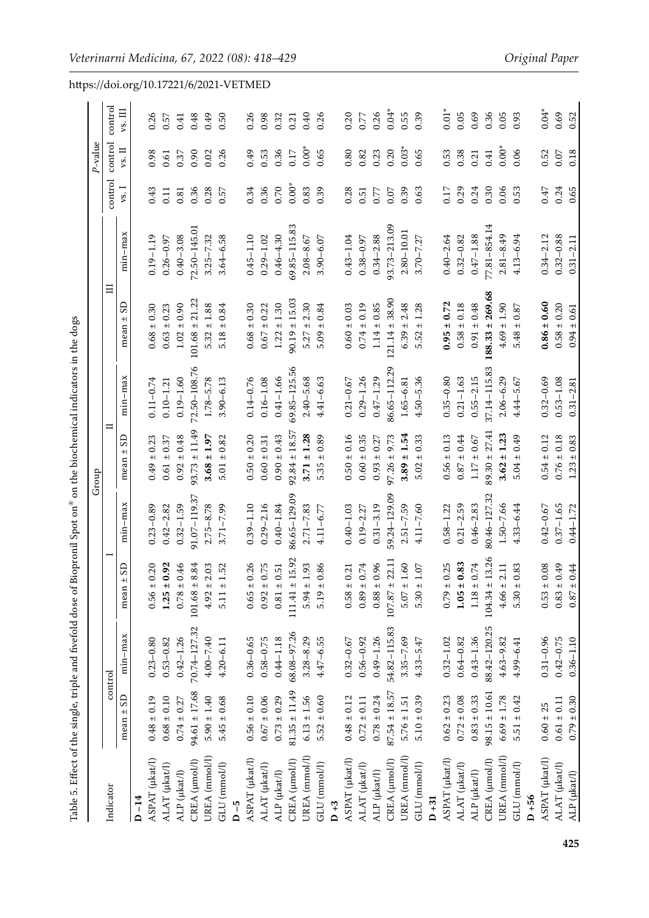<span id="page-7-0"></span>

|                       |                   |               |                    |               | Group             |               |                     |                  |         | $P$ -value            |         | https://doi.org/10.17221/6/2021-VETMED |
|-----------------------|-------------------|---------------|--------------------|---------------|-------------------|---------------|---------------------|------------------|---------|-----------------------|---------|----------------------------------------|
| Indicator             |                   | control       |                    |               | $\Box$            |               | $\Xi$               |                  | control | control               | control |                                        |
|                       | $mean \pm SD$     | min-max       | mean $\pm$ SD      | $min-max$     | G<br>mean $\pm$   | min-max       | mean $\pm$ SD       | min-max          | $vs.$ I | vs. II                | vs. III |                                        |
| $D - 14$              |                   |               |                    |               |                   |               |                     |                  |         |                       |         |                                        |
| ASPAT (µkat/l)        | $0.48 \pm 0.19$   | $0.23 - 0.80$ | $0.56 \pm 0.20$    | $0.23 - 0.89$ | $0.49 \pm 0.23$   | $0.11 - 0.74$ | $0.68 \pm 0.30$     | $0.19 - 1.19$    | 0.43    | 0.98                  | 0.26    |                                        |
| $ALAT$ ( $\mu$ kat/l) | $0.68 \pm 0.10$   | $0.53 - 0.82$ | $1.25 \pm 0.92$    | $0.42 - 2.82$ | $0.61 \pm 0.37$   | $0.10 - 1.21$ | $0.63 \pm 0.23$     | $0.26 - 0.97$    | 0.11    | 0.61                  | 0.57    |                                        |
| ALP (µkat/l)          | $0.74 \pm 0.27$   | $0.42 - 1.26$ | $0.78 \pm 0.46$    | $0.32 - 1.59$ | $0.92 \pm 0.48$   | $0.19 - 1.60$ | $1.02 \pm 0.90$     | $0.40 - 3.08$    | 0.81    | 0.37                  | 0.41    |                                        |
| CREA (µmol/l)         | $94.61 \pm 17.68$ | 70.74-127.32  | $101.68 \pm 8.84$  | 91.07-119.37  | $93.73 \pm 11.49$ | 72.50-108.76  | $101.68 \pm 21.22$  | 72.50-145.01     | 0.36    | 0.90                  | 0.48    |                                        |
| UREA (mmol/l)         | $5.90 \pm 1.40$   | 4.00-7.40     | $4.92 \pm 2.03$    | $2.75 - 8.78$ | $3.68 \pm 1.97$   | $1.78 - 5.78$ | $5.32 \pm 1.88$     | $3.25 - 7.32$    | 0.28    | 0.02                  | 0.49    |                                        |
| GLU (mmol/l)          | $5.45 \pm 0.68$   | $4.20 - 6.11$ | $5.11 \pm 1.52$    | $3.71 - 7.99$ | $5.01 \pm 0.82$   | $3.90 - 6.13$ | $5.18 \pm 0.84$     | $3.64 - 6.58$    | 0.57    | 0.26                  | 0.50    |                                        |
| $D - 5$               |                   |               |                    |               |                   |               |                     |                  |         |                       |         |                                        |
| ASPAT (µkat/l)        | $0.56 \pm 0.10$   | $0.36 - 0.65$ | $0.65 \pm 0.26$    | $0.39 - 1.10$ | $0.50 \pm 0.20$   | $0.14 - 0.76$ | $0.68 \pm 0.30$     | $0.45 - 1.10$    | 0.34    | 0.49                  | 0.26    |                                        |
| $ALAT$ ( $\mu$ kat/l) | $0.67\pm0.06$     | $0.58 - 0.75$ | $0.92 \pm 0.75$    | $0.29 - 2.16$ | $0.60 \pm 0.31$   | $0.16 - 1.08$ | $0.67 \pm 0.22$     | $0.29 - 1.02$    | 0.36    | 0.53                  | 0.98    |                                        |
| ALP (µkat/l)          | $0.73 \pm 0.29$   | $0.44 - 1.18$ | $0.81 \pm 0.51$    | $0.40 - 1.84$ | $0.90 \pm 0.43$   | $0.41 - 1.66$ | $1.22 \pm 1.30$     | $0.46 - 4.30$    | 0.70    | 0.36                  | 0.32    |                                        |
| CREA (µmol/l)         | $81.35 \pm 11.49$ | 68.08-97.26   | $111.41 \pm 15.92$ | 86.65-129.09  | $92.84 \pm 18.57$ | 69.85-125.56  | $90.19 \pm 15.03$   | $69.85 - 115.83$ | $0.00*$ | 0.17                  | 0.21    |                                        |
| UREA (mmol/l)         | $6.13 \pm 1.56$   | $3.28 - 8.29$ | $5.94 \pm 1.93$    | $2.71 - 7.83$ | $3.71 \pm 1.28$   | $2.40 - 5.68$ | $5.27 \pm 2.30$     | $2.08 - 8.67$    | 0.83    | $0.00\ensuremath{^*}$ | 0.40    |                                        |
| GLU (mmol/l)          | $5.52 \pm 0.60$   | $4.47 - 6.55$ | $5.19 \pm 0.86$    | $4.11 - 6.77$ | $5.35 \pm 0.89$   | 4.41-6.63     | $5.09 \pm 0.84$     | $3.90 - 6.07$    | 0.39    | 0.65                  | 0.26    |                                        |
| $D + 3$               |                   |               |                    |               |                   |               |                     |                  |         |                       |         |                                        |
| ASPAT (µkat/l)        | $0.48 \pm 0.12$   | $0.32 - 0.67$ | $0.58 \pm 0.21$    | $0.40 - 1.03$ | $0.50 \pm 0.16$   | $0.21 - 0.67$ | $0.60 \pm 0.03$     | $0.43 - 1.04$    | 0.28    | 0.80                  | 0.20    |                                        |
| $ALAT$ ( $\mu$ kat/l) | $0.72\pm0.11$     | $0.56 - 0.92$ | $0.89 \pm 0.74$    | $0.19 - 2.27$ | $0.60 \pm 0.35$   | $0.29 - 1.26$ | $0.74 \pm 0.19$     | $0.38 - 0.97$    | 0.51    | 0.82                  | 0.77    |                                        |
| ALP (µkat/l)          | $0.78 \pm 0.24$   | $0.49 - 1.26$ | $0.88 \pm 0.96$    | $0.31 - 3.19$ | $0.93 \pm 0.27$   | $0.47 - 1.29$ | $1.14 \pm 0.85$     | $0.34 - 2.88$    | 0.77    | 0.23                  | 0.26    |                                        |
| CREA (µmol/l)         | $87.54 \pm 18.57$ | 54.82-115.83  | $107.87 \pm 22.11$ | 59.24-129.09  | $97.26 \pm 9.73$  | 86.65-112.29  | $121.14 \pm 38.90$  | 93.73-213.09     | 0.07    | 0.20                  | $0.04*$ |                                        |
| UREA (mmol/l)         | $5.76\pm1.51$     | $3.35 - 7.69$ | $5.07 \pm 1.60$    | $2.51 - 7.59$ | $3.89 \pm 1.54$   | 1.65-6.81     | $6.39 \pm 2.48$     | 2.80-10.01       | 0.39    | $0.03*$               | 0.55    |                                        |
| GLU (mmol/l)          | $5.10 \pm 0.39$   | $4.33 - 5.47$ | $5.30 \pm 1.07$    | $4.11 - 7.60$ | $5.02 \pm 0.33$   | $4.50 - 5.36$ | $5.52 \pm 1.28$     | $3.70 - 7.27$    | 0.63    | 0.65                  | 0.39    |                                        |
| $D + 31$              |                   |               |                    |               |                   |               |                     |                  |         |                       |         |                                        |
| ASPAT (µkat/l)        | $0.62 \pm 0.23$   | $0.32 - 1.02$ | $0.79 \pm 0.25$    | $0.58 - 1.22$ | $0.56 \pm 0.13$   | $0.35 - 0.80$ | $0.95 \pm 0.72$     | $0.40 - 2.64$    | 0.17    | 0.53                  | $0.01*$ |                                        |
| $ALAT$ ( $\mu$ kat/l) | $0.72 \pm 0.08$   | $0.64 - 0.82$ | $1.05 \pm 0.83$    | $0.21 - 2.59$ | $0.87 \pm 0.44$   | $0.21 - 1.63$ | $0.58 \pm 0.18$     | $0.32 - 0.82$    | 0.29    | 0.38                  | 0.05    |                                        |
| ALP (µkat/l)          | $0.83 \pm 0.33$   | $0.43 - 1.36$ | $1.18\pm0.74$      | $0.46 - 2.83$ | $1.17 \pm 0.67$   | $0.55 - 2.15$ | $0.91 \pm 0.48$     | $0.47 - 1.88$    | 0.24    | 0.21                  | 0.69    |                                        |
| CREA (µmol/l)         | $98.15 \pm 10.61$ | 88.42-120.25  | $104.34 \pm 13.26$ | 80.46-127.3   | $89.30 \pm 27.41$ | 37.14-115.83  | $188.33 \pm 269.68$ | 77.81-854.14     | 0.30    | 0.41                  | 0.36    |                                        |
| UREA (mmol/l)         | $6.69 \pm 1.78$   | $4.63 - 9.82$ | $4.66 \pm 2.11$    | $1.50 - 7.66$ | $3.62 \pm 1.23$   | $2.06 - 6.29$ | $4.69 \pm 1.90$     | $2.81 - 8.49$    | 0.06    | $0.00\ensuremath{^*}$ | 0.05    |                                        |
| GLU (mmol/l)          | $5.51 \pm 0.42$   | 4.99-6.41     | $5.30 \pm 0.83$    | $4.33 - 6.44$ | $5.04 \pm 0.49$   | 4.44-5.67     | $5.48 \pm 0.87$     | $4.13 - 6.94$    | 0.53    | 0.06                  | 0.93    |                                        |
| $D + 56$              |                   |               |                    |               |                   |               |                     |                  |         |                       |         |                                        |
| ASPAT (µkat/l)        | $0.60 \pm 25$     | $0.31 - 0.96$ | $0.53 \pm 0.08$    | $0.42 - 0.67$ | $0.54 \pm 0.12$   | $0.32 - 0.69$ | $0.86 \pm 0.60$     | $0.34 - 2.12$    | 0.47    | 0.52                  | $0.04*$ |                                        |
| ALAT (µkat/l)         | $0.61 \pm 0.11$   | $0.42 - 0.75$ | $0.83 \pm 0.49$    | $0.37 - 1.65$ | $0.76 \pm 0.18$   | $0.53 - 1.08$ | $0.58 \pm 0.20$     | $0.32 - 0.88$    | 0.24    | $0.07$                | 0.69    |                                        |
| ALP (µkat/l)          | $0.79 \pm 0.30$   | $0.36 - 1.10$ | $0.87 \pm 0.44$    | $0.44 - 1.72$ | $1.23\pm0.83$     | $0.31 - 2.81$ | $0.94 \pm 0.61$     | $0.31 - 2.11$    | 0.65    | 0.18                  | 0.52    |                                        |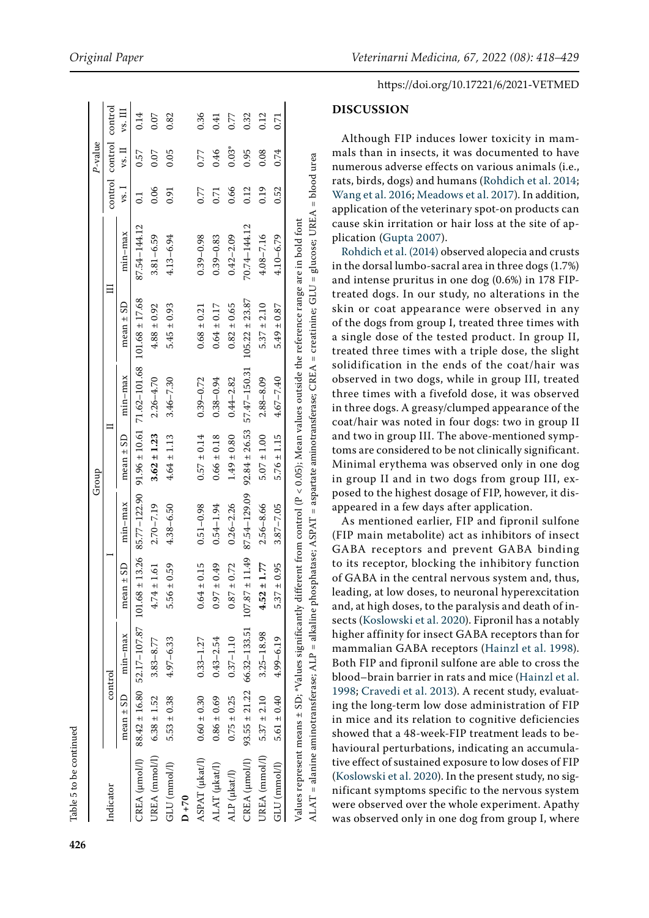| continued |
|-----------|
|           |
| ï         |
| ខ         |
| U<br>٦    |
|           |
|           |
| Table     |
|           |

**426**

|                               |                 |                                |                                                                                                                |               | Group           |                                                       |                                                                                                                                                |               |      | P-value                 |         |
|-------------------------------|-----------------|--------------------------------|----------------------------------------------------------------------------------------------------------------|---------------|-----------------|-------------------------------------------------------|------------------------------------------------------------------------------------------------------------------------------------------------|---------------|------|-------------------------|---------|
| Indicator                     |                 | control                        |                                                                                                                |               |                 |                                                       |                                                                                                                                                |               |      | control control control |         |
|                               | $mean \pm SD$   | $min-max$                      | GS<br>mean ±                                                                                                   | $min-max$     | $mean \pm SD$   | min-max                                               | mean $\pm$ SD                                                                                                                                  | $min-max$     | vs.1 | $vs.$ $II$              | vs. III |
|                               |                 |                                | CREA (umol/l) 88.42 ± 16.80 52.17-107.87 101.68 ± 13.26 85.77-122.90 91.96 ± 10.61 71.62-101.68 101.68 ± 17.68 |               |                 |                                                       |                                                                                                                                                | 87.54-144.12  |      | 0.57                    | 0.14    |
| UREA (mmol/l) $6.38 \pm 1.52$ |                 | $3.83 - 8.77$                  | $4.74 \pm 1.61$                                                                                                | $2.70 - 7.19$ | $3.62 \pm 1.23$ | $2.26 - 4.70$                                         | $4.88 \pm 0.92$                                                                                                                                | $3.81 - 6.59$ | 0.06 | 0.07                    | 0.07    |
| GLU (mmol/l)                  | $5.53 \pm 0.38$ | $4.97 - 6.33$                  | $5.56 \pm 0.59$                                                                                                | $4.38 - 6.50$ | $4.64 \pm 1.13$ | $3.46 - 7.30$                                         | $5.45 \pm 0.93$                                                                                                                                | $4.13 - 6.94$ | 0.91 | 0.05                    | 0.82    |
| $D + 70$                      |                 |                                |                                                                                                                |               |                 |                                                       |                                                                                                                                                |               |      |                         |         |
| ASPAT (µkat/l)                | $0.60 \pm 0.30$ | $0.33 - 1.27$                  | $0.64 \pm 0.15$                                                                                                | $0.51 - 0.98$ | $0.57 \pm 0.14$ | $0.39 - 0.72$                                         | $0.68 \pm 0.21$                                                                                                                                | $0.39 - 0.98$ | 0.77 | 0.77                    | 0.36    |
| ALAT (µkat/l)                 | $0.86 \pm 0.69$ | $0.43 - 2.54$                  | $0.97 \pm 0.49$                                                                                                | $0.54 - 1.94$ | $0.66 \pm 0.18$ | $0.38 - 0.94$                                         | $0.64 \pm 0.17$                                                                                                                                | $0.39 - 0.83$ | 0.71 | 0.46                    | 0.41    |
| ALP (µkat/l)                  | $0.75 \pm 0.25$ | $0.37 - 1.10$                  | $0.87 \pm 0.72$                                                                                                | $0.26 - 2.26$ | $1.49 \pm 0.80$ | $0.44 - 2.82$                                         | $0.82 \pm 0.65$                                                                                                                                | $0.42 - 2.09$ | 0.66 | $0.03*$                 | 0.77    |
| CREA (µmol/l)                 |                 |                                | $93.55 \pm 21.22$ 66.32-133.51 107.87 $\pm$ 11.49 87.54-129.09                                                 |               |                 | $92.84 \pm 26.53$ $57.47 - 150.31$ $105.22 \pm 23.87$ |                                                                                                                                                | 70.74-144.12  | 0.12 | 0.95                    | 0.32    |
| UREA (mmol/l)                 |                 | $5.37 \pm 2.10$ $3.25 - 18.98$ | $4.52 \pm 1.77$                                                                                                | $2.56 - 8.66$ | $5.07 \pm 1.00$ | $2.88 - 8.09$                                         | $5.37 \pm 2.10$                                                                                                                                | $4.08 - 7.16$ | 0.19 | 0.08                    | 0.12    |
| GLU (mmol/l)                  | $5.61 \pm 0.40$ | $4.99 - 6.19$                  | $5.37 \pm 0.95$                                                                                                | $3.87 - 7.05$ | $5.76 \pm 1.15$ | $4.67 - 7.40$                                         | $5.49 \pm 0.87$                                                                                                                                | $4.10 - 6.79$ | 0.52 | 0.74                    | 0.71    |
|                               |                 |                                |                                                                                                                |               |                 |                                                       | Values represent means ± SD; *Values significantly different from control (P < 0.05); Mean values outside the reference range are in bold font |               |      |                         |         |

ALAT = alanine aminotransferase; ALP = alkaline phosphatase; ASPAT = aspartate aminotransferase; CREA = creatinine; GLU = glucose; UREA = blood urea ALAT = alanine aminotransferase; ALP = alkaline phosphatase; ASPAT = aspartate aminotransferase; CREA = creatinine; GLU = glucose; UREA = blood urea

### https://doi.org/10.17221/6/2021-VETMED

#### **DISCUSSION**

Although FIP induces lower toxicity in mammals than in insects, it was documented to have numerous adverse effects on various animals (i.e., rats, birds, dogs) and humans [\(Rohdich et al. 2014](#page-10-8); [Wang et al. 2016;](#page-11-5) [Meadows et al. 2017\)](#page-10-9). In addition, application of the veterinary spot-on products can cause skin irritation or hair loss at the site of application [\(Gupta 2007\)](#page-10-10).

[Rohdich et al. \(2014\)](#page-10-8) observed alopecia and crusts in the dorsal lumbo-sacral area in three dogs (1.7%) and intense pruritus in one dog (0.6%) in 178 FIPtreated dogs. In our study, no alterations in the skin or coat appearance were observed in any of the dogs from group I, treated three times with a single dose of the tested product. In group II, treated three times with a triple dose, the slight solidification in the ends of the coat/hair was observed in two dogs, while in group III, treated three times with a fivefold dose, it was observed in three dogs. A greasy/clumped appearance of the coat/hair was noted in four dogs: two in group II and two in group III. The above-mentioned symptoms are considered to be not clinically significant. Minimal erythema was observed only in one dog in group II and in two dogs from group III, exposed to the highest dosage of FIP, however, it disappeared in a few days after application.

As mentioned earlier, FIP and fipronil sulfone (FIP main metabolite) act as inhibitors of insect GABA receptors and prevent GABA binding to its receptor, blocking the inhibitory function of GABA in the central nervous system and, thus, leading, at low doses, to neuronal hyperexcitation and, at high doses, to the paralysis and death of insects ([Koslowski et al. 2020\)](#page-10-0). Fipronil has a notably higher affinity for insect GABA receptors than for mammalian GABA receptors ([Hainzl et al. 1998\)](#page-10-11). Both FIP and fipronil sulfone are able to cross the blood–brain barrier in rats and mice [\(Hainzl et al.](#page-10-11) [1998;](#page-10-11) [Cravedi et al. 2013\)](#page-10-12). A recent study, evaluating the long-term low dose administration of FIP in mice and its relation to cognitive deficiencies showed that a 48-week-FIP treatment leads to behavioural perturbations, indicating an accumulative effect of sustained exposure to low doses of FIP [\(Koslowski et al. 2020](#page-10-0)). In the present study, no significant symptoms specific to the nervous system were observed over the whole experiment. Apathy was observed only in one dog from group I, where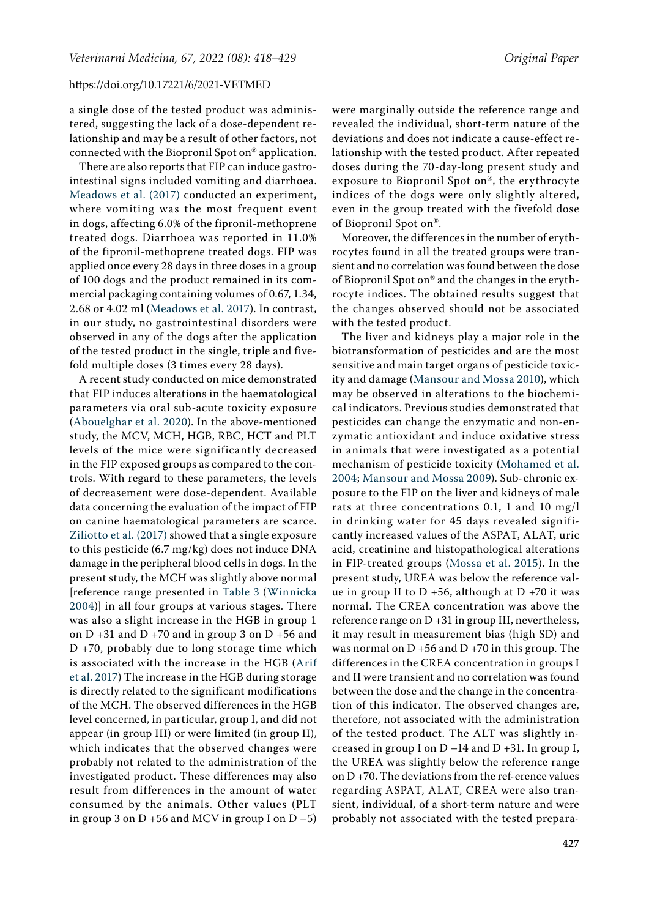a single dose of the tested product was administered, suggesting the lack of a dose-dependent relationship and may be a result of other factors, not connected with the Biopronil Spot on® application.

There are also reports that FIP can induce gastrointestinal signs included vomiting and diarrhoea. [Meadows et al. \(2017\)](#page-10-9) conducted an experiment, where vomiting was the most frequent event in dogs, affecting 6.0% of the fipronil-methoprene treated dogs. Diarrhoea was reported in 11.0% of the fipronil-methoprene treated dogs. FIP was applied once every 28 days in three doses in a group of 100 dogs and the product remained in its commercial packaging containing volumes of 0.67, 1.34, 2.68 or 4.02 ml ([Meadows et al. 2017](#page-10-9)). In contrast, in our study, no gastrointestinal disorders were observed in any of the dogs after the application of the tested product in the single, triple and fivefold multiple doses (3 times every 28 days).

A recent study conducted on mice demonstrated that FIP induces alterations in the haematological parameters via oral sub-acute toxicity exposure [\(Abouelghar et al. 2020\)](#page-10-5). In the above-mentioned study, the MCV, MCH, HGB, RBC, HCT and PLT levels of the mice were significantly decreased in the FIP exposed groups as compared to the controls. With regard to these parameters, the levels of decreasement were dose-dependent. Available data concerning the evaluation of the impact of FIP on canine haematological parameters are scarce. [Ziliotto et al. \(2017\) s](#page-11-6)howed that a single exposure to this pesticide (6.7 mg/kg) does not induce DNA damage in the peripheral blood cells in dogs. In the present study, the MCH was slightly above normal [reference range presented in [Table 3](#page-3-1) ([Winnicka](#page-11-4)  [2004](#page-11-4))] in all four groups at various stages. There was also a slight increase in the HGB in group 1 on  $D + 31$  and  $D + 70$  and in group 3 on  $D + 56$  and D +70, probably due to long storage time which is associated with the increase in the HGB [\(Arif](#page-10-13)  [et al. 2017](#page-10-13)) The increase in the HGB during storage is directly related to the significant modifications of the MCH. The observed differences in the HGB level concerned, in particular, group I, and did not appear (in group III) or were limited (in group II), which indicates that the observed changes were probably not related to the administration of the investigated product. These differences may also result from differences in the amount of water consumed by the animals. Other values (PLT in group 3 on  $D + 56$  and MCV in group I on  $D - 5$ )

were marginally outside the reference range and revealed the individual, short-term nature of the deviations and does not indicate a cause-effect relationship with the tested product. After repeated doses during the 70-day-long present study and exposure to Biopronil Spot on®, the erythrocyte indices of the dogs were only slightly altered, even in the group treated with the fivefold dose of Biopronil Spot on®.

Moreover, the differences in the number of erythrocytes found in all the treated groups were transient and no correlation was found between the dose of Biopronil Spot on® and the changes in the erythrocyte indices. The obtained results suggest that the changes observed should not be associated with the tested product.

The liver and kidneys play a major role in the biotransformation of pesticides and are the most sensitive and main target organs of pesticide toxicity and damage [\(Mansour and Mossa 2010\)](#page-10-14), which may be observed in alterations to the biochemical indicators. Previous studies demonstrated that pesticides can change the enzymatic and non-enzymatic antioxidant and induce oxidative stress in animals that were investigated as a potential mechanism of pesticide toxicity ([Mohamed et al.](#page-10-15) [2004;](#page-10-15) [Mansour and Mossa 2009](#page-10-16)). Sub-chronic exposure to the FIP on the liver and kidneys of male rats at three concentrations 0.1, 1 and 10 mg/l in drinking water for 45 days revealed significantly increased values of the ASPAT, ALAT, uric acid, creatinine and histopathological alterations in FIP-treated groups [\(Mossa et al. 2015\)](#page-10-17). In the present study, UREA was below the reference value in group II to  $D + 56$ , although at  $D + 70$  it was normal. The CREA concentration was above the reference range on D +31 in group III, nevertheless, it may result in measurement bias (high SD) and was normal on D +56 and D +70 in this group. The differences in the CREA concentration in groups I and II were transient and no correlation was found between the dose and the change in the concentration of this indicator. The observed changes are, therefore, not associated with the administration of the tested product. The ALT was slightly increased in group I on D –14 and D +31. In group I, the UREA was slightly below the reference range on D +70. The deviations from the ref-erence values regarding ASPAT, ALAT, CREA were also transient, individual, of a short-term nature and were probably not associated with the tested prepara-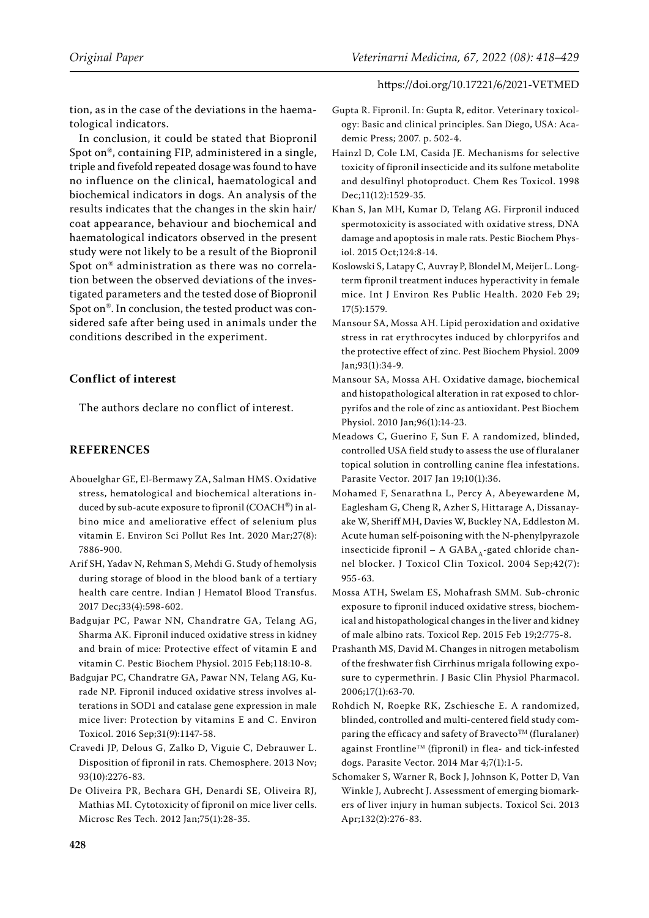tion, as in the case of the deviations in the haematological indicators.

In conclusion, it could be stated that Biopronil Spot on®, containing FIP, administered in a single, triple and fivefold repeated dosage was found to have no influence on the clinical, haematological and biochemical indicators in dogs. An analysis of the results indicates that the changes in the skin hair/ coat appearance, behaviour and biochemical and haematological indicators observed in the present study were not likely to be a result of the Biopronil Spot on® administration as there was no correlation between the observed deviations of the investigated parameters and the tested dose of Biopronil Spot on®. In conclusion, the tested product was considered safe after being used in animals under the conditions described in the experiment.

# **Conflict of interest**

The authors declare no conflict of interest.

# **REFERENCES**

- <span id="page-10-5"></span>Abouelghar GE, El-Bermawy ZA, Salman HMS. Oxidative stress, hematological and biochemical alterations induced by sub-acute exposure to fipronil (COACH®) in albino mice and ameliorative effect of selenium plus vitamin E. Environ Sci Pollut Res Int. 2020 Mar;27(8): 7886-900.
- <span id="page-10-13"></span>Arif SH, Yadav N, Rehman S, Mehdi G. Study of hemolysis during storage of blood in the blood bank of a tertiary health care centre. Indian J Hematol Blood Transfus. 2017 Dec;33(4):598-602.
- <span id="page-10-3"></span>Badgujar PC, Pawar NN, Chandratre GA, Telang AG, Sharma AK. Fipronil induced oxidative stress in kidney and brain of mice: Protective effect of vitamin E and vitamin C. Pestic Biochem Physiol. 2015 Feb;118:10-8.
- <span id="page-10-4"></span>Badgujar PC, Chandratre GA, Pawar NN, Telang AG, Kurade NP. Fipronil induced oxidative stress involves alterations in SOD1 and catalase gene expression in male mice liver: Protection by vitamins E and C. Environ Toxicol. 2016 Sep;31(9):1147-58.
- <span id="page-10-12"></span>Cravedi JP, Delous G, Zalko D, Viguie C, Debrauwer L. Disposition of fipronil in rats. Chemosphere. 2013 Nov; 93(10):2276-83.
- <span id="page-10-1"></span>De Oliveira PR, Bechara GH, Denardi SE, Oliveira RJ, Mathias MI. Cytotoxicity of fipronil on mice liver cells. Microsc Res Tech. 2012 Jan;75(1):28-35.
- <span id="page-10-10"></span>Gupta R. Fipronil. In: Gupta R, editor. Veterinary toxicology: Basic and clinical principles. San Diego, USA: Academic Press; 2007. p. 502-4.
- <span id="page-10-11"></span>Hainzl D, Cole LM, Casida JE. Mechanisms for selective toxicity of fipronil insecticide and its sulfone metabolite and desulfinyl photoproduct. Chem Res Toxicol. 1998 Dec;11(12):1529-35.
- <span id="page-10-2"></span>Khan S, Jan MH, Kumar D, Telang AG. Firpronil induced spermotoxicity is associated with oxidative stress, DNA damage and apoptosis in male rats. Pestic Biochem Physiol. 2015 Oct;124:8-14.
- <span id="page-10-0"></span>[Koslowski](https://pubmed.ncbi.nlm.nih.gov/?term=Koslowski+S&cauthor_id=32121376) S, [Latapy](https://pubmed.ncbi.nlm.nih.gov/?term=Latapy+C&cauthor_id=32121376) C, [Auvray](https://pubmed.ncbi.nlm.nih.gov/?term=Auvray+P&cauthor_id=32121376) P, [Blondel](https://pubmed.ncbi.nlm.nih.gov/?term=Blondel+M&cauthor_id=32121376) M, [Meijer](https://pubmed.ncbi.nlm.nih.gov/?term=Meijer+L&cauthor_id=32121376) L. Longterm fipronil treatment induces hyperactivity in female mice. Int J Environ Res Public Health. 2020 Feb 29; 17(5):1579.
- <span id="page-10-16"></span>Mansour SA, Mossa AH. Lipid peroxidation and oxidative stress in rat erythrocytes induced by chlorpyrifos and the protective effect of zinc. Pest Biochem Physiol. 2009 Jan;93(1):34-9.
- <span id="page-10-14"></span>Mansour SA, Mossa AH. Oxidative damage, biochemical and histopathological alteration in rat exposed to chlorpyrifos and the role of zinc as antioxidant. Pest Biochem Physiol. 2010 Jan;96(1):14-23.
- <span id="page-10-9"></span>Meadows C, Guerino F, Sun F. A randomized, blinded, controlled USA field study to assess the use of fluralaner topical solution in controlling canine flea infestations. Parasite Vector. 2017 Jan 19;10(1):36.
- <span id="page-10-15"></span>Mohamed F, Senarathna L, Percy A, Abeyewardene M, Eaglesham G, Cheng R, Azher S, Hittarage A, Dissanayake W, Sheriff MH, Davies W, Buckley NA, Eddleston M. Acute human self-poisoning with the N-phenylpyrazole insecticide fipronil – A GABA  $_{4}$ -gated chloride channel blocker. J Toxicol Clin Toxicol. 2004 Sep;42(7): 955-63.
- <span id="page-10-17"></span>Mossa ATH, Swelam ES, Mohafrash SMM. Sub-chronic exposure to fipronil induced oxidative stress, biochemical and histopathological changes in the liver and kidney of male albino rats. Toxicol Rep. 2015 Feb 19;2:775-8.
- <span id="page-10-6"></span>Prashanth MS, David M. Changes in nitrogen metabolism of the freshwater fish Cirrhinus mrigala following exposure to cypermethrin. J Basic Clin Physiol Pharmacol. 2006;17(1):63-70.
- <span id="page-10-8"></span>Rohdich N, Roepke RK, Zschiesche E. A randomized, blinded, controlled and multi-centered field study comparing the efficacy and safety of Bravecto<sup>TM</sup> (fluralaner) against FrontlineTM (fipronil) in flea- and tick-infested dogs. Parasite Vector. 2014 Mar 4;7(1):1-5.
- <span id="page-10-7"></span>Schomaker S, Warner R, Bock J, Johnson K, Potter D, Van Winkle J, Aubrecht J. Assessment of emerging biomarkers of liver injury in human subjects. Toxicol Sci. 2013 Apr;132(2):276-83.